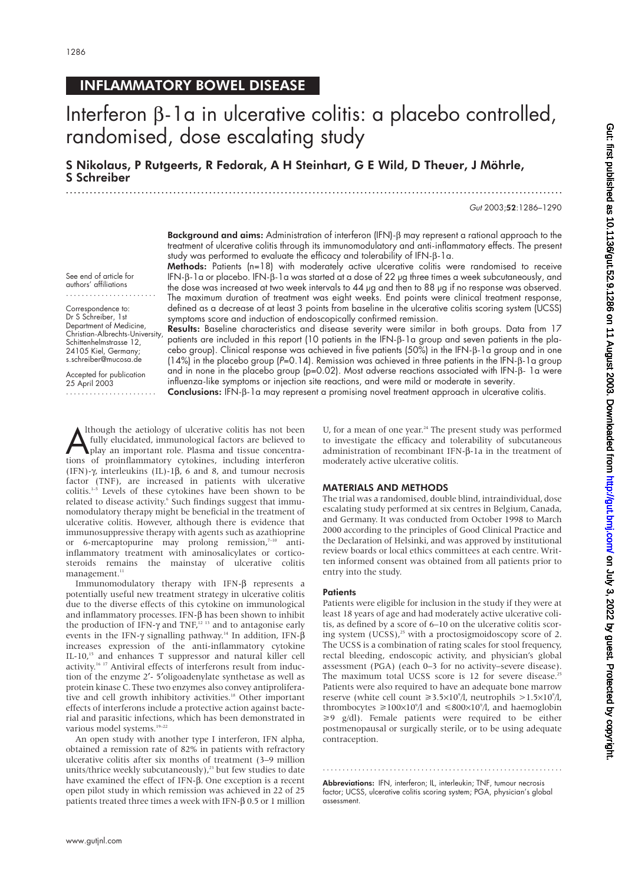# INFLAMMATORY BOWEL DISEASE

Interferon β-1a in ulcerative colitis: a placebo controlled, randomised, dose escalating study

S Nikolaus, P Rutgeerts, R Fedorak, A H Steinhart, G E Wild, D Theuer, J Möhrle, S Schreiber

.............................................................................................................................

*Gut* 2003;52:1286–1290

Background and aims: Administration of interferon (IFN)-β may represent a rational approach to the treatment of ulcerative colitis through its immunomodulatory and anti-inflammatory effects. The present study was performed to evaluate the efficacy and tolerability of IFN-β-1a.

See end of article for authors' affiliations .......................

Correspondence to: Dr S Schreiber, 1st Department of Medicine, Christian-Albrechts-University, Schittenhelmstrasse 12, 24105 Kiel, Germany; s.schreiber@mucosa.de

Accepted for publication 25 April 2003 ....................... Methods: Patients (n=18) with moderately active ulcerative colitis were randomised to receive IFN-β-1a or placebo. IFN-β-1a was started at a dose of 22 µg three times a week subcutaneously, and the dose was increased at two week intervals to 44 µg and then to 88 µg if no response was observed. The maximum duration of treatment was eight weeks. End points were clinical treatment response, defined as a decrease of at least 3 points from baseline in the ulcerative colitis scoring system (UCSS) symptoms score and induction of endoscopically confirmed remission.

Results: Baseline characteristics and disease severity were similar in both groups. Data from 17 patients are included in this report (10 patients in the IFN-β-1a group and seven patients in the placebo group). Clinical response was achieved in five patients (50%) in the IFN-β-1a group and in one (14%) in the placebo group (*P*=0.14). Remission was achieved in three patients in the IFN-β-1a group and in none in the placebo group (p=0.02). Most adverse reactions associated with IFN-β- 1a were influenza-like symptoms or injection site reactions, and were mild or moderate in severity.

Conclusions: IFN-β-1a may represent a promising novel treatment approach in ulcerative colitis.

Although the aetiology of ulcerative colitis has not been<br>fully elucidated, immunological factors are believed to<br>play an important role. Plasma and tissue concentra-<br>tions of proinflammatory cytokines, including interfero lthough the aetiology of ulcerative colitis has not been fully elucidated, immunological factors are believed to play an important role. Plasma and tissue concentra-(IFN)-γ, interleukins (IL)-1β, 6 and 8, and tumour necrosis factor (TNF), are increased in patients with ulcerative colitis.1–5 Levels of these cytokines have been shown to be related to disease activity. $6 \text{ such findings suggest that immu-}$ nomodulatory therapy might be beneficial in the treatment of ulcerative colitis. However, although there is evidence that immunosuppressive therapy with agents such as azathioprine or 6-mercaptopurine may prolong remission, $7-10$  antiinflammatory treatment with aminosalicylates or corticosteroids remains the mainstay of ulcerative colitis management.<sup>11</sup>

Immunomodulatory therapy with IFN-β represents a potentially useful new treatment strategy in ulcerative colitis due to the diverse effects of this cytokine on immunological and inflammatory processes. IFN-β has been shown to inhibit the production of IFN- $\gamma$  and TNF,<sup>12 13</sup> and to antagonise early events in the IFN-γ signalling pathway.14 In addition, IFN-β increases expression of the anti-inflammatory cytokine IL-10,<sup>15</sup> and enhances T suppressor and natural killer cell activity.16 17 Antiviral effects of interferons result from induction of the enzyme 2′- 5′oligoadenylate synthetase as well as protein kinase C. These two enzymes also convey antiproliferative and cell growth inhibitory activities.<sup>18</sup> Other important effects of interferons include a protective action against bacterial and parasitic infections, which has been demonstrated in various model systems.<sup>19-22</sup>

An open study with another type I interferon, IFN alpha, obtained a remission rate of 82% in patients with refractory ulcerative colitis after six months of treatment (3–9 million units/thrice weekly subcutaneously),<sup>23</sup> but few studies to date have examined the effect of IFN-β. One exception is a recent open pilot study in which remission was achieved in 22 of 25 patients treated three times a week with IFN-β 0.5 or 1 million

U, for a mean of one year. $24$  The present study was performed to investigate the efficacy and tolerability of subcutaneous administration of recombinant IFN-β-1a in the treatment of moderately active ulcerative colitis.

## MATERIALS AND METHODS

The trial was a randomised, double blind, intraindividual, dose escalating study performed at six centres in Belgium, Canada, and Germany. It was conducted from October 1998 to March 2000 according to the principles of Good Clinical Practice and the Declaration of Helsinki, and was approved by institutional review boards or local ethics committees at each centre. Written informed consent was obtained from all patients prior to entry into the study.

### **Patients**

Patients were eligible for inclusion in the study if they were at least 18 years of age and had moderately active ulcerative colitis, as defined by a score of 6–10 on the ulcerative colitis scoring system  $(UCSS)$ ,<sup>25</sup> with a proctosigmoidoscopy score of 2. The UCSS is a combination of rating scales for stool frequency, rectal bleeding, endoscopic activity, and physician's global assessment (PGA) (each 0–3 for no activity–severe disease). The maximum total UCSS score is 12 for severe disease.<sup>3</sup> Patients were also required to have an adequate bone marrow reserve (white cell count  $\geq 3.5 \times 10^9/1$ , neutrophils  $>1.5 \times 10^9/1$ , thrombocytes  $\geq 100 \times 10^9/1$  and  $\leq 800 \times 10^9/1$ , and haemoglobin  $\geq 9$  g/dl). Female patients were required to be either postmenopausal or surgically sterile, or to be using adequate contraception.

Abbreviations: IFN, interferon; IL, interleukin; TNF, tumour necrosis factor; UCSS, ulcerative colitis scoring system; PGA, physician's global assessment.

.............................................................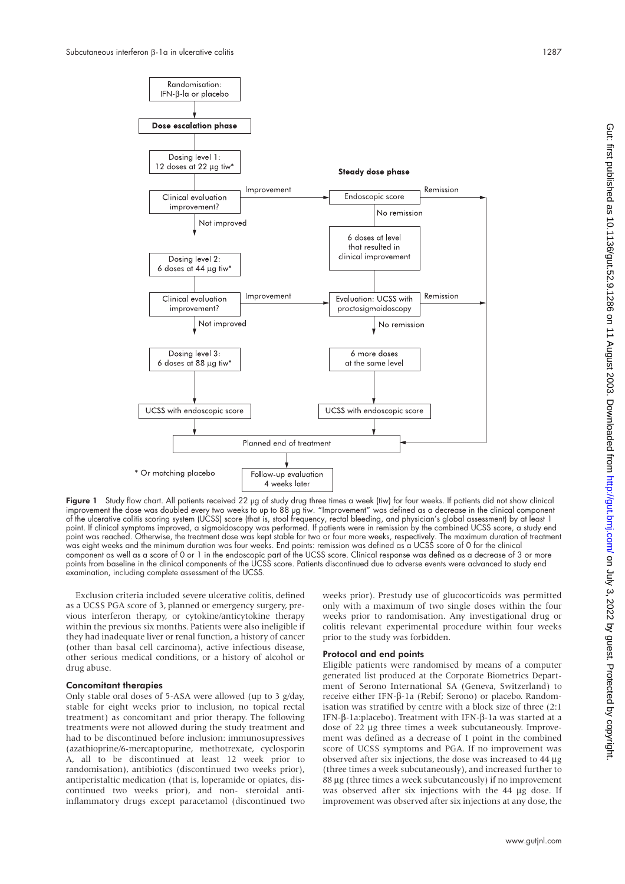

Figure 1 Study flow chart. All patients received 22 µg of study drug three times a week (tiw) for four weeks. If patients did not show clinical improvement the dose was doubled every two weeks to up to 88 µg tiw. "Improvement" was defined as a decrease in the clinical component of the ulcerative colitis scoring system (UCSS) score (that is, stool frequency, rectal bleeding, and physician's global assessment) by at least 1 point. If clinical symptoms improved, a sigmoidoscopy was performed. If patients were in remission by the combined UCSS score, a study end point was reached. Otherwise, the treatment dose was kept stable for two or four more weeks, respectively. The maximum duration of treatment was eight weeks and the minimum duration was four weeks. End points: remission was defined as a UCSS score of 0 for the clinical component as well as a score of 0 or 1 in the endoscopic part of the UCSS score. Clinical response was defined as a decrease of 3 or more points from baseline in the clinical components of the UCSS score. Patients discontinued due to adverse events were advanced to study end examination, including complete assessment of the UCSS.

Exclusion criteria included severe ulcerative colitis, defined as a UCSS PGA score of 3, planned or emergency surgery, previous interferon therapy, or cytokine/anticytokine therapy within the previous six months. Patients were also ineligible if they had inadequate liver or renal function, a history of cancer (other than basal cell carcinoma), active infectious disease, other serious medical conditions, or a history of alcohol or drug abuse.

#### Concomitant therapies

Only stable oral doses of 5-ASA were allowed (up to 3 g/day, stable for eight weeks prior to inclusion, no topical rectal treatment) as concomitant and prior therapy. The following treatments were not allowed during the study treatment and had to be discontinued before inclusion: immunosupressives (azathioprine/6-mercaptopurine, methotrexate, cyclosporin A, all to be discontinued at least 12 week prior to randomisation), antibiotics (discontinued two weeks prior), antiperistaltic medication (that is, loperamide or opiates, discontinued two weeks prior), and non- steroidal antiinflammatory drugs except paracetamol (discontinued two

weeks prior). Prestudy use of glucocorticoids was permitted only with a maximum of two single doses within the four weeks prior to randomisation. Any investigational drug or colitis relevant experimental procedure within four weeks prior to the study was forbidden.

#### Protocol and end points

Eligible patients were randomised by means of a computer generated list produced at the Corporate Biometrics Department of Serono International SA (Geneva, Switzerland) to receive either IFN-β-1a (Rebif; Serono) or placebo. Randomisation was stratified by centre with a block size of three (2:1 IFN-β-1a:placebo). Treatment with IFN-β-1a was started at a dose of 22 µg three times a week subcutaneously. Improvement was defined as a decrease of 1 point in the combined score of UCSS symptoms and PGA. If no improvement was observed after six injections, the dose was increased to 44 µg (three times a week subcutaneously), and increased further to 88 µg (three times a week subcutaneously) if no improvement was observed after six injections with the 44 µg dose. If improvement was observed after six injections at any dose, the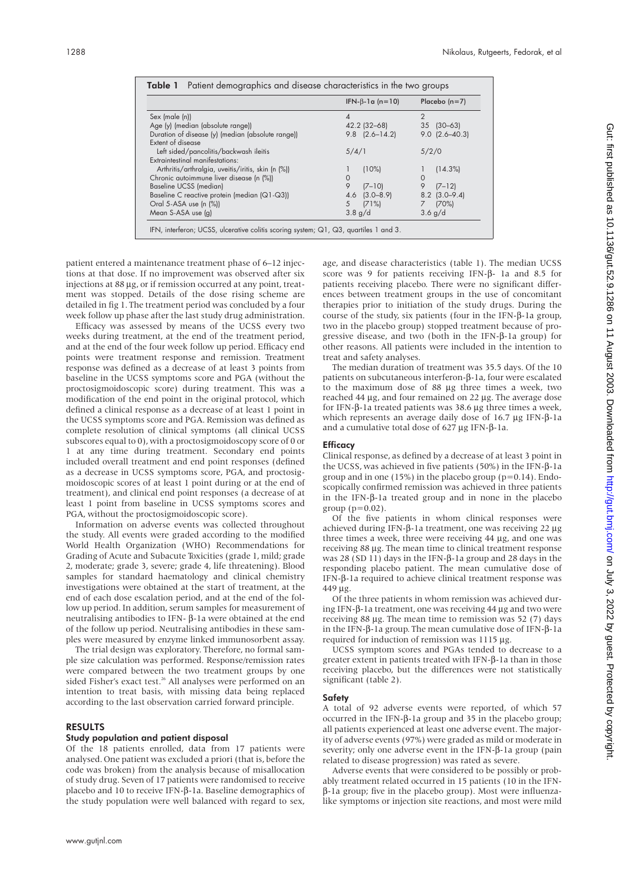|                                                    | IFN- $\beta$ -1a (n=10)  | Placebo $(n=7)$      |
|----------------------------------------------------|--------------------------|----------------------|
| Sex (male (n))                                     | $\overline{\mathcal{A}}$ | $\overline{2}$       |
| Age (y) (median (absolute range))                  | 42.2 (32-68)             | $35$ $(30-63)$       |
| Duration of disease (y) (median (absolute range))  | $9.8$ $(2.6 - 14.2)$     | $9.0$ $(2.6 - 40.3)$ |
| Extent of disease                                  |                          |                      |
| Left sided/pancolitis/backwash ileitis             | 5/4/1                    | 5/2/0                |
| Extraintestinal manifestations:                    |                          |                      |
| Arthritis/arthralgia, uveitis/iritis, skin (n (%)) | $(10\%)$                 | (14.3%)              |
| Chronic autoimmune liver disease (n (%))           |                          | 0                    |
| Baseline UCSS (median)                             | 9<br>$(7 - 10)$          | $(7-12)$<br>9        |
| Baseline C reactive protein (median (Q1-Q3))       | $4.6$ $(3.0-8.9)$        | $8.2$ $(3.0-9.4)$    |
| Oral 5-ASA use (n (%))                             | (71%)<br>5               | (70%)                |
| Mean S-ASA use (g)                                 | 3.8 g/d                  | 3.6 g/d              |

patient entered a maintenance treatment phase of 6–12 injections at that dose. If no improvement was observed after six injections at 88 µg, or if remission occurred at any point, treatment was stopped. Details of the dose rising scheme are detailed in fig 1. The treatment period was concluded by a four week follow up phase after the last study drug administration.

Efficacy was assessed by means of the UCSS every two weeks during treatment, at the end of the treatment period, and at the end of the four week follow up period. Efficacy end points were treatment response and remission. Treatment response was defined as a decrease of at least 3 points from baseline in the UCSS symptoms score and PGA (without the proctosigmoidoscopic score) during treatment. This was a modification of the end point in the original protocol, which defined a clinical response as a decrease of at least 1 point in the UCSS symptoms score and PGA. Remission was defined as complete resolution of clinical symptoms (all clinical UCSS subscores equal to 0), with a proctosigmoidoscopy score of 0 or 1 at any time during treatment. Secondary end points included overall treatment and end point responses (defined as a decrease in UCSS symptoms score, PGA, and proctosigmoidoscopic scores of at least 1 point during or at the end of treatment), and clinical end point responses (a decrease of at least 1 point from baseline in UCSS symptoms scores and PGA, without the proctosigmoidoscopic score).

Information on adverse events was collected throughout the study. All events were graded according to the modified World Health Organization (WHO) Recommendations for Grading of Acute and Subacute Toxicities (grade 1, mild; grade 2, moderate; grade 3, severe; grade 4, life threatening). Blood samples for standard haematology and clinical chemistry investigations were obtained at the start of treatment, at the end of each dose escalation period, and at the end of the follow up period. In addition, serum samples for measurement of neutralising antibodies to IFN- β-1a were obtained at the end of the follow up period. Neutralising antibodies in these samples were measured by enzyme linked immunosorbent assay.

The trial design was exploratory. Therefore, no formal sample size calculation was performed. Response/remission rates were compared between the two treatment groups by one sided Fisher's exact test.<sup>26</sup> All analyses were performed on an intention to treat basis, with missing data being replaced according to the last observation carried forward principle.

#### RESULTS

#### Study population and patient disposal

Of the 18 patients enrolled, data from 17 patients were analysed. One patient was excluded a priori (that is, before the code was broken) from the analysis because of misallocation of study drug. Seven of 17 patients were randomised to receive placebo and 10 to receive IFN-β-1a. Baseline demographics of the study population were well balanced with regard to sex,

age, and disease characteristics (table 1). The median UCSS score was 9 for patients receiving IFN-β- 1a and 8.5 for patients receiving placebo. There were no significant differences between treatment groups in the use of concomitant therapies prior to initiation of the study drugs. During the course of the study, six patients (four in the IFN-β-1a group, two in the placebo group) stopped treatment because of progressive disease, and two (both in the IFN-β-1a group) for other reasons. All patients were included in the intention to treat and safety analyses.

The median duration of treatment was 35.5 days. Of the 10 patients on subcutaneous interferon-β-1a, four were escalated to the maximum dose of 88 µg three times a week, two reached 44 µg, and four remained on 22 µg. The average dose for IFN-β-1a treated patients was 38.6 µg three times a week, which represents an average daily dose of 16.7 µg IFN-β-1a and a cumulative total dose of 627 µg IFN-β-1a.

#### **Efficacy**

Clinical response, as defined by a decrease of at least 3 point in the UCSS, was achieved in five patients (50%) in the IFN-β-1a group and in one (15%) in the placebo group ( $p=0.14$ ). Endoscopically confirmed remission was achieved in three patients in the IFN-β-1a treated group and in none in the placebo group  $(p=0.02)$ .

Of the five patients in whom clinical responses were achieved during IFN-β-1a treatment, one was receiving 22 µg three times a week, three were receiving 44 µg, and one was receiving 88 µg. The mean time to clinical treatment response was 28 (SD 11) days in the IFN-β-1a group and 28 days in the responding placebo patient. The mean cumulative dose of IFN-β-1a required to achieve clinical treatment response was 449 µg.

Of the three patients in whom remission was achieved during IFN-β-1a treatment, one was receiving 44 µg and two were receiving 88 µg. The mean time to remission was 52 (7) days in the IFN-β-1a group. The mean cumulative dose of IFN-β-1a required for induction of remission was 1115 µg.

UCSS symptom scores and PGAs tended to decrease to a greater extent in patients treated with IFN-β-1a than in those receiving placebo, but the differences were not statistically significant (table 2).

## **Safety**

A total of 92 adverse events were reported, of which 57 occurred in the IFN-β-1a group and 35 in the placebo group; all patients experienced at least one adverse event. The majority of adverse events (97%) were graded as mild or moderate in severity; only one adverse event in the IFN-β-1a group (pain related to disease progression) was rated as severe.

Adverse events that were considered to be possibly or probably treatment related occurred in 15 patients (10 in the IFNβ-1a group; five in the placebo group). Most were influenzalike symptoms or injection site reactions, and most were mild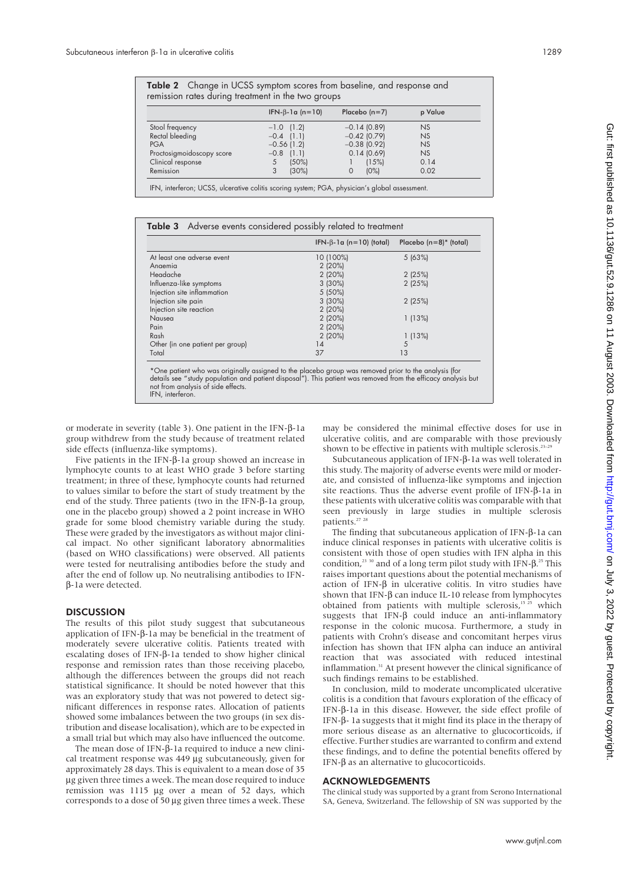Table 2 Change in UCSS symptom scores from baseline, and response and remission rates during treatment in the two groups

|                           | IFN- $\beta$ -1a (n=10) | Placebo $(n=7)$ | p Value |
|---------------------------|-------------------------|-----------------|---------|
| Stool frequency           | $-1.0$ (1.2)            | $-0.14$ (0.89)  | NS      |
| Rectal bleeding           | $-0.4$ (1.1)            | $-0.42$ (0.79)  | NS      |
| <b>PGA</b>                | $-0.56(1.2)$            | $-0.38$ (0.92)  | NS      |
| Proctosigmoidoscopy score | $-0.8$ (1.1)            | 0.14(0.69)      | NS      |
| Clinical response         | $(50\%)$                | (15%)           | 0.14    |
| Remission                 | $(30\%)$                | $(0\%)$<br>O    | 0.02    |

IFN, interferon; UCSS, ulcerative colitis scoring system; PGA, physician's global assessment.

|                                  | IFN- $\beta$ -1a (n=10) (total) | Placebo $(n=8)^*$ (total) |
|----------------------------------|---------------------------------|---------------------------|
| At least one adverse event       | 10 (100%)                       | 5(63%)                    |
| Angemia                          | 2(20%)                          |                           |
| Headache                         | 2(20%)                          | 2(25%)                    |
| Influenza-like symptoms          | 3(30%)                          | 2(25%)                    |
| Injection site inflammation      | 5 (50%)                         |                           |
| Injection site pain              | 3(30%)                          | 2(25%)                    |
| Injection site reaction          | 2(20%)                          |                           |
| Nausea                           | 2(20%)                          | 1(13%)                    |
| Pain                             | 2(20%)                          |                           |
| Rash                             | 2(20%)                          | 1(13%)                    |
| Other (in one patient per group) | 14                              | 5                         |
| Total                            | 37                              | 13                        |

\*One patient who was originally assigned to the placebo group was removed prior to the analysis (for details see "study population and patient disposal"). This patient was removed from the efficacy analysis but not from analysis of side effects. IFN, interferon.

or moderate in severity (table 3). One patient in the IFN-β-1a group withdrew from the study because of treatment related side effects (influenza-like symptoms).

Five patients in the IFN-β-1a group showed an increase in lymphocyte counts to at least WHO grade 3 before starting treatment; in three of these, lymphocyte counts had returned to values similar to before the start of study treatment by the end of the study. Three patients (two in the IFN-β-1a group, one in the placebo group) showed a 2 point increase in WHO grade for some blood chemistry variable during the study. These were graded by the investigators as without major clinical impact. No other significant laboratory abnormalities (based on WHO classifications) were observed. All patients were tested for neutralising antibodies before the study and after the end of follow up. No neutralising antibodies to IFNβ-1a were detected.

#### **DISCUSSION**

The results of this pilot study suggest that subcutaneous application of IFN-β-1a may be beneficial in the treatment of moderately severe ulcerative colitis. Patients treated with escalating doses of IFN-β-1a tended to show higher clinical response and remission rates than those receiving placebo, although the differences between the groups did not reach statistical significance. It should be noted however that this was an exploratory study that was not powered to detect significant differences in response rates. Allocation of patients showed some imbalances between the two groups (in sex distribution and disease localisation), which are to be expected in a small trial but which may also have influenced the outcome.

The mean dose of IFN-β-1a required to induce a new clinical treatment response was 449 µg subcutaneously, given for approximately 28 days. This is equivalent to a mean dose of 35 µg given three times a week. The mean dose required to induce remission was 1115 µg over a mean of 52 days, which corresponds to a dose of 50 µg given three times a week. These may be considered the minimal effective doses for use in ulcerative colitis, and are comparable with those previously shown to be effective in patients with multiple sclerosis.<sup>23</sup>

Subcutaneous application of IFN-β-1a was well tolerated in this study. The majority of adverse events were mild or moderate, and consisted of influenza-like symptoms and injection site reactions. Thus the adverse event profile of IFN-β-1a in these patients with ulcerative colitis was comparable with that seen previously in large studies in multiple sclerosis patients.<sup>27</sup> <sup>2</sup>

The finding that subcutaneous application of IFN-β-1a can induce clinical responses in patients with ulcerative colitis is consistent with those of open studies with IFN alpha in this condition,<sup>23 30</sup> and of a long term pilot study with IFN- $\beta$ .<sup>25</sup> This raises important questions about the potential mechanisms of action of IFN-β in ulcerative colitis. In vitro studies have shown that IFN-β can induce IL-10 release from lymphocytes obtained from patients with multiple sclerosis,<sup>15 25</sup> which suggests that IFN-β could induce an anti-inflammatory response in the colonic mucosa. Furthermore, a study in patients with Crohn's disease and concomitant herpes virus infection has shown that IFN alpha can induce an antiviral reaction that was associated with reduced intestinal inflammation.<sup>31</sup> At present however the clinical significance of such findings remains to be established.

In conclusion, mild to moderate uncomplicated ulcerative colitis is a condition that favours exploration of the efficacy of IFN-β-1a in this disease. However, the side effect profile of IFN-β- 1a suggests that it might find its place in the therapy of more serious disease as an alternative to glucocorticoids, if effective. Further studies are warranted to confirm and extend these findings, and to define the potential benefits offered by IFN-β as an alternative to glucocorticoids.

## ACKNOWLEDGEMENTS

The clinical study was supported by a grant from Serono International SA, Geneva, Switzerland. The fellowship of SN was supported by the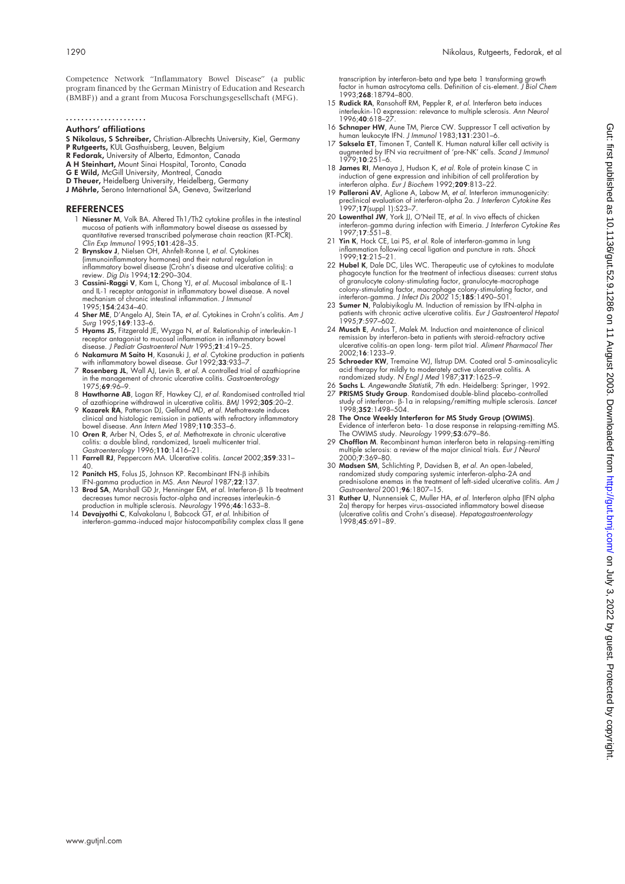Competence Network "Inflammatory Bowel Disease" (a public program financed by the German Ministry of Education and Research (BMBF)) and a grant from Mucosa Forschungsgesellschaft (MFG).

.....................

## Authors' affiliations

- S Nikolaus, S Schreiber, Christian-Albrechts University, Kiel, Germany
- **P Rutgeerts,** KUL Gasthuisberg, Leuven, Belgium
- R Fedorak, University of Alberta, Edmonton, Canada
- A H Steinhart, Mount Sinai Hospital, Toronto, Canada
- G E Wild, McGill University, Montreal, Canada **D Theuer,** Heidelberg University, Heidelberg, Germany
- **J Möhrle,** Serono International SA, Geneva, Switzerland

#### REFERENCES

- 1 Niessner M, Volk BA. Altered Th1/Th2 cytokine profiles in the intestinal mucosa of patients with inflammatory bowel disease as assessed by quantitative reversed transcribed polymerase chain reaction (RT-PCR)*.*
- *Clin Exp Immunol* 1995;101:428–35. 2 Brynskov J, Nielsen OH, Ahnfelt-Ronne I, *et al.* Cytokines (immunoinflammatory hormones) and their natural regulation in
- inflammatory bowel disease (Crohn's disease and ulcerative colitis): a<br>Teview. *Dig Dis* 1994;1**2**:290–304.<br>**3 Cassini-Raggi V**, Kam L, Chong YJ, *et al.* Mucosal imbalance of IL-1<br>and IL-1 receptor antagonist in inflammat mechanism of chronic intestinal inflammation*. J Immunol* 1995;154:2434–40.
- 4 Sher ME, D'Angelo AJ, Stein TA, *et al.* Cytokines in Crohn's colitis*. Am J Surg* 1995;169:133–6.
- 5 Hyams JS, Fitzgerald JE, Wyzga N, *et al.* Relationship of interleukin-1 receptor antagonist to mucosal inflammation in inflammatory bowel disease*. J Pediatr Gastroenterol Nutr* 1995;21:419–25.
- 6 Nakamura M Saito H, Kasanuki J, *et al.* Cytokine production in patients with inflammatory bowel disease*. Gut* 1992;33:933–7.
- 7 Rosenberg JL, Wall AJ, Levin B, *et al.* A controlled trial of azathioprine in the management of chronic ulcerative colitis*. Gastroenterology* 1975;69:96–9.
- 8 Hawthorne AB, Logan RF, Hawkey CJ, et al. Randomised controlled trial of azathioprine withdrawal in ulcerative colitis*. BMJ* 1992;305:20–2. 9 Kozarek RA, Patterson DJ, Gelfand MD, *et al.* Methotrexate induces
- clinical and histologic remission in patients with refractory inflammatory<br>bowel disease. Ann Intern Med 1989;**110**:353–6.<br>10 **Oren R**, Arber N, Odes S, et al. Methotrexate in chronic ulcerative<br>colitis: a double blind, ra
- *Gastroenterology* 1996;110:1416–21.
- 11 Farrell RJ, Peppercorn MA. Ulcerative colitis*. Lancet* 2002;359:331– 40.
- 
- 12 **Panitch HS**, Folus JS, Johnson KP. Recombinant IFN-β inhibits<br>IFN-gamma production in MS. Ann Neurol 1987;**22**:137.<br>13 **Brod SA**, Marshall GD Jr, Henninger EM, *et al.* Interferon-β 1b treatment<br>decreases tumor necrosi production in multiple sclerosis*. Neurology* 1996;46:1633–8. 14 Devajyothi C, Kalvakolanu I, Babcock GT, *et al.* Inhibition of
- interferon-gamma-induced major histocompatibility complex class II gene

transcription by interferon-beta and type beta 1 transforming growth factor in human astrocytoma cells. Definition of cis-element*. J Biol Chem* 1993;268:18794–800.

- 15 Rudick RA, Ransohoff RM, Peppler R, *et al.* Interferon beta induces interleukin-10 expression: relevance to multiple sclerosis*. Ann Neurol* 1996;40:618–27.
- 16 Schnaper HW, Aune TM, Pierce CW. Suppressor T cell activation by human leukocyte IFN*. J Immunol* 1983;131:2301–6.
- 17 Saksela ET, Timonen T, Cantell K. Human natural killer cell activity is augmented by IFN via recruitment of 'pre-NK' cells*. Scand J Immunol* 1979;10:251–6.
- 18 James RI, Menaya J, Hudson K, *et al.* Role of protein kinase C in induction of gene expression and inhibition of cell proliferation by interferon alpha*. Eur J Biochem* 1992;209:813–22.
- 19 Palleroni AV, Aglione A, Labow M, *et al.* Interferon immunogenicity: preclinical evaluation of interferon-alpha 2a*. J Interferon Cytokine Res* 1997;17(suppl 1):S23–7.
- 20 Lowenthal JW, York JJ, O'Neil TE, *et al.* In vivo effects of chicken interferon-gamma during infection with Eimeria*. J Interferon Cytokine Res* 1997;17:551–8.
- 21 Yin K, Hock CE, Lai PS, *et al.* Role of interferon-gamma in lung inflammation following cecal ligation and puncture in rats*. Shock* 1999;12:215–21.
- 22 Hubel K, Dale DC, Liles WC. Therapeutic use of cytokines to modulate phagocyte function for the treatment of infectious diseases: current status of granulocyte colony-stimulating factor, granulocyte-macrophage colony-stimulating factor, macrophage colony-stimulating factor, and interferon-gamma*. J Infect Dis 2002* 15;185:1490–501.
- 23 Sumer N, Palabiyikoglu M. Induction of remission by IFN-alpha in patients with chronic active ulcerative colitis*. Eur J Gastroenterol Hepatol* 1995;7:597–602.
- 24 Musch E, Andus T, Malek M. Induction and maintenance of clinical remission by interferon-beta in patients with steroid-refractory active ulcerative colitis-an open long- term pilot trial*. Aliment Pharmacol Ther* 2002;16:1233–9.
- 25 Schroeder KW, Tremaine WJ, Ilstrup DM. Coated oral 5-aminosalicylic acid therapy for mildly to moderately active ulcerative colitis. A randomized study*. N Engl J Med* 1987;317:1625–9.
- 
- 26 **Sachs L**. Angewandte Statistik, 7th edn. Heidelberg: Springer, 1992.<br>27 **PRISMS Study Group**. Randomised double-blind placebo-controlled<br>study of interferon- β-1a in relapsing/remitting multiple sclerosis. *Lancet* 1998;352:1498–504.
- 28 The Once Weekly Interferon for MS Study Group (OWIMS). Evidence of interferon beta- 1a dose response in relapsing-remitting MS. The OWIMS study*. Neurology* 1999;53:679–86. 29 Chofflon M. Recombinant human interferon beta in relapsing-remitting
- multiple sclerosis: a review of the major clinical trials*. Eur J Neurol* 2000;7:369–80.
- 30 Madsen SM, Schlichting P, Davidsen B, *et al.* An open-labeled, randomized study comparing systemic interferon-alpha-2A and prednisolone enemas in the treatment of left-sided ulcerative colitis*. Am J Gastroenterol* 2001;96:1807–15.
- Ruther U, Nunnensiek C, Muller HA, *et al.* Interferon alpha (IFN alpha 2a) therapy for herpes virus-associated inflammatory bowel disease (ulcerative colitis and Crohn's disease)*. Hepatogastroenterology* 1998;45:691–89.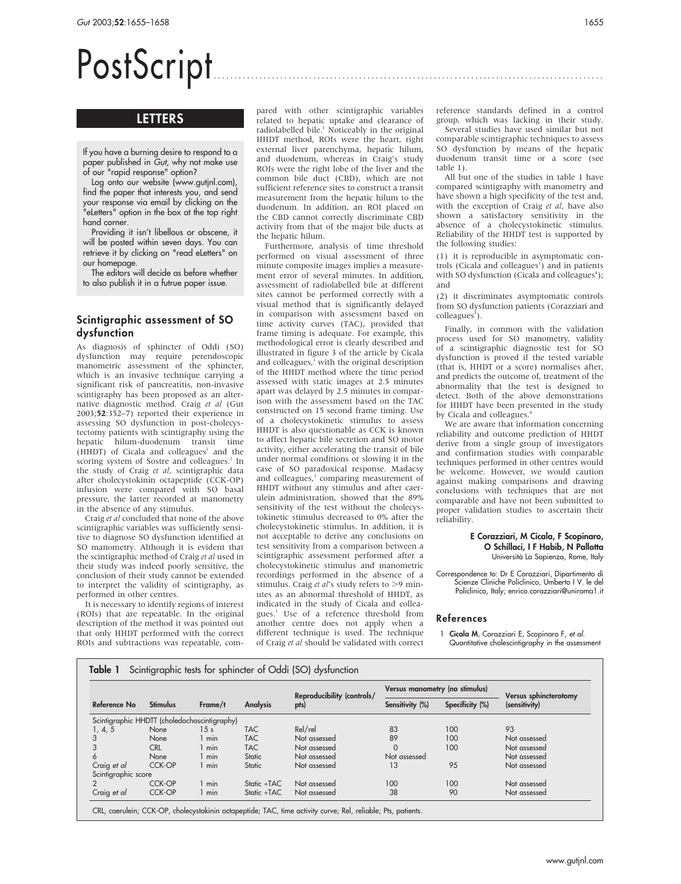# PostScript ..............................................................................................

## LETTERS

If you have a burning desire to respond to a paper published in Gut, why not make use of our "rapid response" option?

Log onto our website (www.gutjnl.com), find the paper that interests you, and send your response via email by clicking on the "eLetters" option in the box at the top right hand corner.

Providing it isn't libellous or obscene, it will be posted within seven days. You can retrieve it by clicking on "read eLetters" on our homepage.

The editors will decide as before whether to also publish it in a futrue paper issue.

## Scintigraphic assessment of SO dysfunction

As diagnosis of sphincter of Oddi (SO) dysfunction may require perendoscopic manometric assessment of the sphincter, which is an invasive technique carrying a significant risk of pancreatitis, non-invasive scintigraphy has been proposed as an alternative diagnostic method. Craig et al (Gut 2003;52:352–7) reported their experience in assessing SO dysfunction in post-cholecystectomy patients with scintigraphy using the hepatic hilum-duodenum transit time  $(HHDT)$  of Cicala and colleagues<sup>1</sup> and the scoring system of Sostre and colleagues.<sup>2</sup> In the study of Craig et al, scintigraphic data after cholecystokinin octapeptide (CCK-OP) infusion were compared with SO basal pressure, the latter recorded at manometry in the absence of any stimulus.

Craig et al concluded that none of the above scintigraphic variables was sufficiently sensitive to diagnose SO dysfunction identified at SO manometry. Although it is evident that the scintigraphic method of Craig et al used in their study was indeed poorly sensitive, the conclusion of their study cannot be extended to interpret the validity of scintigraphy, as performed in other centres.

It is necessary to identify regions of interest (ROIs) that are repeatable. In the original description of the method it was pointed out that only HHDT performed with the correct ROIs and subtractions was repeatable, compared with other scintigraphic variables related to hepatic uptake and clearance of radiolabelled bile.<sup>1</sup> Noticeably in the original HHDT method, ROIs were the heart, right external liver parenchyma, hepatic hilum, and duodenum, whereas in Craig's study ROIs were the right lobe of the liver and the common bile duct (CBD), which are not sufficient reference sites to construct a transit measurement from the hepatic hilum to the duodenum. In addition, an ROI placed on the CBD cannot correctly discriminate CBD activity from that of the major bile ducts at the hepatic hilum.

Furthermore, analysis of time threshold performed on visual assessment of three minute composite images implies a measurement error of several minutes. In addition, assessment of radiolabelled bile at different sites cannot be performed correctly with a visual method that is significantly delayed in comparison with assessment based on time activity curves (TAC), provided that frame timing is adequate. For example, this methodological error is clearly described and illustrated in figure 3 of the article by Cicala and colleagues, $\frac{1}{2}$  with the original description of the HHDT method where the time period assessed with static images at 2.5 minutes apart was delayed by 2.5 minutes in comparison with the assessment based on the TAC constructed on 15 second frame timing. Use of a cholecystokinetic stimulus to assess HHDT is also questionable as CCK is known to affect hepatic bile secretion and SO motor activity, either accelerating the transit of bile under normal conditions or slowing it in the case of SO paradoxical response. Madacsy and colleagues,<sup>3</sup> comparing measurement of HHDT without any stimulus and after caerulein administration, showed that the 89% sensitivity of the test without the cholecystokinetic stimulus decreased to 0% after the cholecystokinetic stimulus. In addition, it is not acceptable to derive any conclusions on test sensitivity from a comparison between a scintigraphic assessment performed after a cholecystokinetic stimulus and manometric recordings performed in the absence of a stimulus. Craig et al's study refers to  $>9$  minutes as an abnormal threshold of HHDT, as indicated in the study of Cicala and colleagues.1 Use of a reference threshold from another centre does not apply when a different technique is used. The technique of Craig et al should be validated with correct

reference standards defined in a control group, which was lacking in their study.

Several studies have used similar but not comparable scintigraphic techniques to assess SO dysfunction by means of the hepatic duodenum transit time or a score (see table 1).

All but one of the studies in table 1 have compared scintigraphy with manometry and have shown a high specificity of the test and, with the exception of Craig et al, have also shown a satisfactory sensitivity in the absence of a cholecystokinetic stimulus. Reliability of the HHDT test is supported by the following studies:

(1) it is reproducible in asymptomatic controls (Cicala and colleagues<sup>1</sup>) and in patients with SO dysfunction (Cicala and colleagues<sup>4</sup>); and

(2) it discriminates asymptomatic controls from SO dysfunction patients (Corazziari and colleagues<sup>5</sup>).

Finally, in common with the validation process used for SO manometry, validity of a scintigraphic diagnostic test for SO dysfunction is proved if the tested variable (that is, HHDT or a score) normalises after, and predicts the outcome of, treatment of the abnormality that the test is designed to detect. Both of the above demonstrations for HHDT have been presented in the study by Cicala and colleagues.<sup>4</sup>

We are aware that information concerning reliability and outcome prediction of HHDT derive from a single group of investigators and confirmation studies with comparable techniques performed in other centres would be welcome. However, we would caution against making comparisons and drawing conclusions with techniques that are not comparable and have not been submitted to proper validation studies to ascertain their reliability.

#### E Corazziari, M Cicala, F Scopinaro, O Schillaci, I F Habib, N Pallotta Università La Sapienza, Rome, Italy

Correspondence to: Dr E Corazziari, Dipartimento di Scienze Cliniche Policlinico, Umberto I V. le del Policlinico, Italy; enrico.corazziari@uniroma1.it

#### References

1 Cicala M, Corazziari E, Scopinaro F, et al. Quantitative cholescintigraphy in the assessment

|                                              |                                                       |                  | Reproducibility (controls/ | Versus manometry (no stimulus) |                 | Versus sphincterotomy<br>(sensitivity) |              |
|----------------------------------------------|-------------------------------------------------------|------------------|----------------------------|--------------------------------|-----------------|----------------------------------------|--------------|
| Reference No                                 | <b>Analysis</b><br><b>Stimulus</b><br>Frame/t<br>pts) |                  |                            | Sensitivity (%)                | Specificity (%) |                                        |              |
| Scintigraphic HHDTT (choledochoscintigraphy) |                                                       |                  |                            |                                |                 |                                        |              |
| 1, 4, 5                                      | None                                                  | 15 <sub>s</sub>  | <b>TAC</b>                 | Rel/rel                        | 83              | 100                                    | 93           |
|                                              | None                                                  | min              | <b>TAC</b>                 | Not assessed                   | 89              | 100                                    | Not assessed |
|                                              | <b>CRL</b>                                            | min              | <b>TAC</b>                 | Not assessed                   |                 | 100                                    | Not assessed |
| 6                                            | None                                                  | 1 min            | Static                     | Not assessed                   | Not assessed    |                                        | Not assessed |
| Craig et al                                  | <b>CCK-OP</b>                                         | $\mathsf{I}$ min | <b>Static</b>              | Not assessed                   | 13              | 95                                     | Not assessed |
| Scintigraphic score                          |                                                       |                  |                            |                                |                 |                                        |              |
|                                              | <b>CCK-OP</b>                                         | min              | Static +TAC                | Not assessed                   | 100             | 100                                    | Not assessed |
| Craig et al                                  | <b>CCK-OP</b>                                         | $\mathsf{I}$ min | Static +TAC                | Not assessed                   | 38              | 90                                     | Not assessed |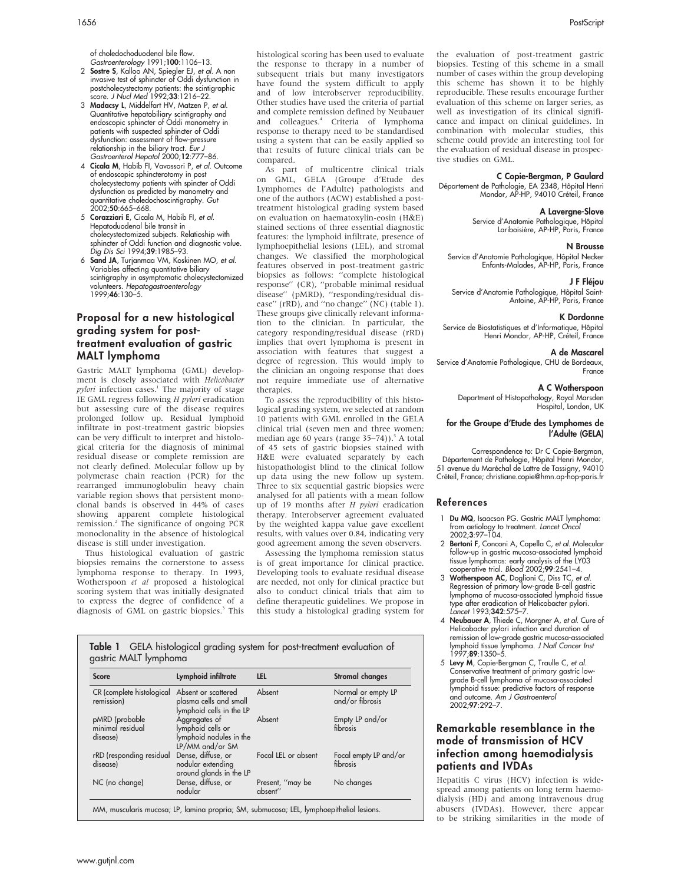of choledochoduodenal bile flow. Gastroenterology 1991;100:1106–13.

- 2 Sostre S, Kalloo AN, Spiegler EJ, et al. A non invasive test of sphincter of Oddi dysfunction in postcholecystectomy patients: the scintigraphic score. J Nucl Med 1992;33:1216–22.
- 3 Madacsy L, Middelfart HV, Matzen P, et al. Quantitative hepatobiliary scintigraphy and endoscopic sphincter of Oddi manometry in patients with suspected sphincter of Oddi dysfunction: assessment of flow-pressure relationship in the biliary tract. Eur J Gastroenterol Hepatol 2000;12:777–86.
- 4 Cicala M, Habib FI, Vavassori P, et al. Outcome of endoscopic sphincterotomy in post cholecystectomy patients with spincter of Oddi dysfunction as predicted by manometry and quantitative choledochoscintigraphy. Gut 2002;50:665–668.
- 5 Corazziari E, Cicala M, Habib FI, et al. Hepatoduodenal bile transit in cholecystectomized subjects. Relatioship with sphincter of Oddi function and diagnostic value. Dig Dis Sci 1994;39:1985–93.
- 6 Sand JA, Turjanmaa VM, Koskinen MO, et al. Variables affecting quantitative biliary scintigraphy in asymptomatic cholecystectomized<br>volunteers. *Hepatogastroenterology* 1999;46:130–5.

## Proposal for a new histological grading system for posttreatment evaluation of gastric MALT lymphoma

Gastric MALT lymphoma (GML) development is closely associated with Helicobacter *pylori* infection cases.<sup>1</sup> The majority of stage IE GML regress following H pylori eradication but assessing cure of the disease requires prolonged follow up. Residual lymphoid infiltrate in post-treatment gastric biopsies can be very difficult to interpret and histological criteria for the diagnosis of minimal residual disease or complete remission are not clearly defined. Molecular follow up by polymerase chain reaction (PCR) for the rearranged immunoglobulin heavy chain variable region shows that persistent monoclonal bands is observed in 44% of cases showing apparent complete histological<br>remission.<sup>2</sup> The significance of ongoing PCR monoclonality in the absence of histological disease is still under investigation.

Thus histological evaluation of gastric biopsies remains the cornerstone to assess lymphoma response to therapy. In 1993, Wotherspoon et al proposed a histological scoring system that was initially designated to express the degree of confidence of a diagnosis of GML on gastric biopsies.<sup>3</sup> This histological scoring has been used to evaluate the response to therapy in a number of subsequent trials but many investigators have found the system difficult to apply and of low interobserver reproducibility. Other studies have used the criteria of partial and complete remission defined by Neubauer and colleagues.<sup>4</sup> Criteria of lymphoma response to therapy need to be standardised using a system that can be easily applied so that results of future clinical trials can be compared.

As part of multicentre clinical trials on GML, GELA (Groupe d'Etude des Lymphomes de l'Adulte) pathologists and one of the authors (ACW) established a posttreatment histological grading system based on evaluation on haematoxylin-eosin (H&E) stained sections of three essential diagnostic features: the lymphoid infiltrate, presence of lymphoepithelial lesions (LEL), and stromal changes. We classified the morphological features observed in post-treatment gastric biopsies as follows: ''complete histological response'' (CR), ''probable minimal residual disease'' (pMRD), ''responding/residual disease'' (rRD), and ''no change'' (NC) (table 1). These groups give clinically relevant information to the clinician. In particular, the category responding/residual disease (rRD) implies that overt lymphoma is present in association with features that suggest a degree of regression. This would imply to the clinician an ongoing response that does not require immediate use of alternative therapies.

To assess the reproducibility of this histological grading system, we selected at random 10 patients with GML enrolled in the GELA clinical trial (seven men and three women; median age 60 years (range 35–74)).<sup>5</sup> A total of 45 sets of gastric biopsies stained with H&E were evaluated separately by each histopathologist blind to the clinical follow up data using the new follow up system. Three to six sequential gastric biopsies were analysed for all patients with a mean follow up of 19 months after H pylori eradication therapy. Interobserver agreement evaluated by the weighted kappa value gave excellent results, with values over 0.84, indicating very good agreement among the seven observers.

Assessing the lymphoma remission status is of great importance for clinical practice. Developing tools to evaluate residual disease are needed, not only for clinical practice but also to conduct clinical trials that aim to define therapeutic guidelines. We propose in this study a histological grading system for

| Table 1 GELA histological grading system for post-treatment evaluation of |  |  |  |
|---------------------------------------------------------------------------|--|--|--|
| gastric MALT lymphoma                                                     |  |  |  |

| Score                                          | Lymphoid infiltrate                                                              | <b>LEL</b>                  | <b>Stromal changes</b>                |
|------------------------------------------------|----------------------------------------------------------------------------------|-----------------------------|---------------------------------------|
| CR (complete histological<br>remission)        | Absent or scattered<br>plasma cells and small<br>lymphoid cells in the LP        | Absent                      | Normal or empty LP<br>and/or fibrosis |
| pMRD (probable<br>minimal residual<br>disease) | Aggregates of<br>lymphoid cells or<br>lymphoid nodules in the<br>LP/MM and/or SM | Absent                      | Empty LP and/or<br>fibrosis           |
| rRD (responding residual<br>disease)           | Dense, diffuse, or<br>nodular extending<br>around glands in the LP               | Focal LEL or absent         | Focal empty LP and/or<br>fibrosis     |
| NC (no change)                                 | Dense, diffuse, or<br>nodular                                                    | Present, "may be<br>absent" | No changes                            |

the evaluation of post-treatment gastric biopsies. Testing of this scheme in a small number of cases within the group developing this scheme has shown it to be highly reproducible. These results encourage further evaluation of this scheme on larger series, as well as investigation of its clinical significance and impact on clinical guidelines. In combination with molecular studies, this scheme could provide an interesting tool for the evaluation of residual disease in prospective studies on GML.

#### C Copie-Bergman, P Gaulard

Département de Pathologie, EA 2348, Hôpital Henri Mondor, AP-HP, 94010 Créteil, France

#### A Lavergne-Slove

Service d'Anatomie Pathologique, Hôpital<br>Lariboisière, AP-HP, Paris, France

#### N Brousse

Service d'Anatomie Pathologique, Hôpital Necker Enfants-Malades, AP-HP, Paris, France

#### J F Fléjou

Service d'Anatomie Pathologique, Hôpital Saint-Antoine, AP-HP, Paris, France

#### K Dordonne

Service de Biostatistiques et d'Informatique, Hôpital Henri Mondor, AP-HP, Créteil, France

#### A de Mascarel

Service d'Anatomie Pathologique, CHU de Bordeaux, France

#### A C Wotherspoon

Department of Histopathology, Royal Marsden Hospital, London, UK

#### for the Groupe d'Etude des Lymphomes de l'Adulte (GELA)

Correspondence to: Dr C Copie-Bergman, Département de Pathologie, Hôpital Henri Mondor, 51 avenue du Maréchal de Lattre de Tassigny, 94010 Créteil, France; christiane.copie@hmn.ap-hop-paris.fr

#### References

- Du MQ, Isaacson PG. Gastric MALT lymphoma: from aetiology to treatment. Lancet Oncol 2002;3:97–104.
- 2 Bertoni F, Conconi A, Capella C, et al. Molecular follow-up in gastric mucosa-associated lymphoid tissue lymphomas: early analysis of the LY03 cooperative trial. Blood 2002;99:2541–4.
- 3 Wotherspoon AC, Doglioni C, Diss TC, et al. Regression of primary low-grade B-cell gastric lymphoma of mucosa-associated lymphoid tissue type after eradication of Helicobacter pylori. Lancet 1993;342:575–7.
- 4 Neubauer A, Thiede C, Morgner A, et al. Cure of Helicobacter pylori infection and duration of remission of low-grade gastric mucosa-associated lymphoid tissue lymphoma. *J Natl Cancer Ins.*<br>1997;**89**:1350–5.
- 5 Levy M, Copie-Bergman C, Traulle C, et al. Conservative treatment of primary gastric lowgrade B-cell lymphoma of mucosa-associated lymphoid tissue: predictive factors of response and outcome. *Am J Gastroentero.*<br>2002;**97**:292–7.

## Remarkable resemblance in the mode of transmission of HCV infection among haemodialysis patients and IVDAs

Hepatitis C virus (HCV) infection is widespread among patients on long term haemodialysis (HD) and among intravenous drug abusers (IVDAs). However, there appear to be striking similarities in the mode of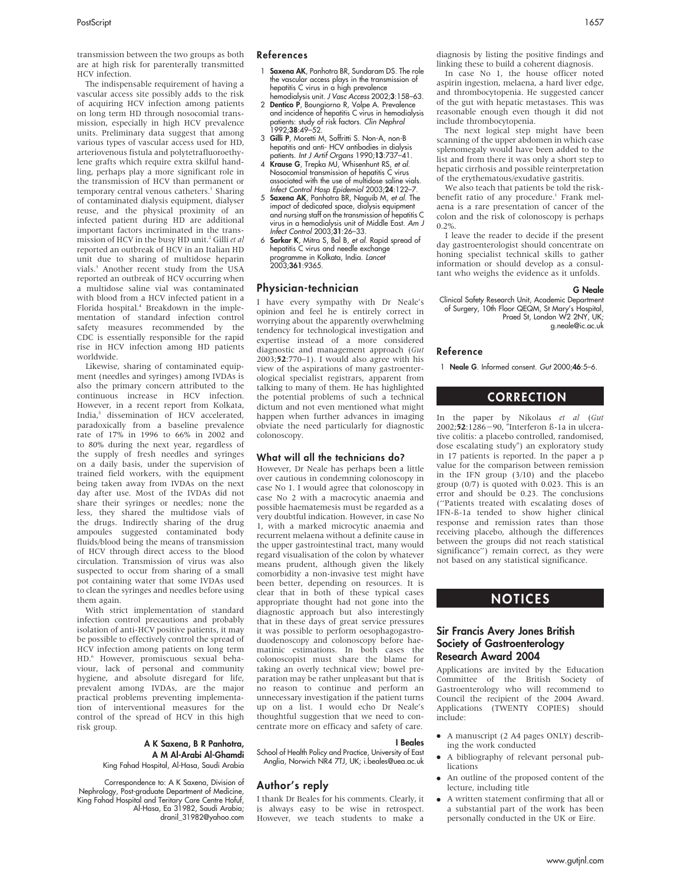transmission between the two groups as both are at high risk for parenterally transmitted HCV infection.

The indispensable requirement of having a vascular access site possibly adds to the risk of acquiring HCV infection among patients on long term HD through nosocomial transmission, especially in high HCV prevalence units. Preliminary data suggest that among various types of vascular access used for HD, arteriovenous fistula and polytetrafluoroethylene grafts which require extra skilful handling, perhaps play a more significant role in the transmission of HCV than permanent or temporary central venous catheters.<sup>1</sup> Sharing of contaminated dialysis equipment, dialyser reuse, and the physical proximity of an infected patient during HD are additional important factors incriminated in the transmission of HCV in the busy HD unit.<sup>2</sup> Gilli et al. reported an outbreak of HCV in an Italian HD unit due to sharing of multidose heparin vials.<sup>3</sup> Another recent study from the USA reported an outbreak of HCV occurring when a multidose saline vial was contaminated with blood from a HCV infected patient in a Florida hospital.4 Breakdown in the implementation of standard infection control safety measures recommended by the CDC is essentially responsible for the rapid rise in HCV infection among HD patients worldwide.

Likewise, sharing of contaminated equipment (needles and syringes) among IVDAs is also the primary concern attributed to the continuous increase in HCV infection. However, in a recent report from Kolkata, India,<sup>5</sup> dissemination of HCV accelerated, paradoxically from a baseline prevalence rate of 17% in 1996 to 66% in 2002 and to 80% during the next year, regardless of the supply of fresh needles and syringes on a daily basis, under the supervision of trained field workers, with the equipment being taken away from IVDAs on the next day after use. Most of the IVDAs did not share their syringes or needles; none the less, they shared the multidose vials of the drugs. Indirectly sharing of the drug ampoules suggested contaminated body fluids/blood being the means of transmission of HCV through direct access to the blood circulation. Transmission of virus was also suspected to occur from sharing of a small pot containing water that some IVDAs used to clean the syringes and needles before using them again.

With strict implementation of standard infection control precautions and probably isolation of anti-HCV positive patients, it may be possible to effectively control the spread of HCV infection among patients on long term HD.6 However, promiscuous sexual behaviour, lack of personal and community hygiene, and absolute disregard for life, prevalent among IVDAs, are the major practical problems preventing implementation of interventional measures for the control of the spread of HCV in this high risk group.

#### A K Saxena, B R Panhotra, A M Al-Arabi Al-Ghamdi

King Fahad Hospital, Al-Hasa, Saudi Arabia

Correspondence to: A K Saxena, Division of Nephrology, Post-graduate Department of Medicine, King Fahad Hospital and Teritary Care Centre Hofuf, Al-Hasa, Ea 31982, Saudi Arabia; dranil\_31982@yahoo.com

#### References

- 1 Saxena AK, Panhotra BR, Sundaram DS. The role the vascular access plays in the transmission of hepatitis C virus in a high prevalence hemodialysis unit. J Vasc Access 2002;3:158–63.
- 2 Dentico P, Boungiorno R, Volpe A. Prevalence and incidence of hepatitis C virus in hemodialysis patients: study of risk factors. Clin Nephrol 1992;38:49–52.
- 3 Gilli P, Moretti M, Soffritti S. Non-A, non-B hepatitis and anti- HCV antibodies in dialysis patients. Int J Artif Organs 1990;13:737-41.
- 4 Krause G, Trepka MJ, Whisenhunt RS, et al. Nosocomial transmission of hepatitis C virus associated with the use of multidose saline vials. Infect Control Hosp Epidemiol 2003;24:122–7.
- 5 Saxena AK, Panhotra BR, Naguib M, et al. The impact of dedicated space, dialysis equipment and nursing staff on the transmission of hepatitis C virus in a hemodialysis unit of Middle East. Am J Infect Control 2003;31:26–33.
- 6 **Sarkar K**, Mitra S, Bal B, *et al.* Rapid spread of hepatitis C virus and needle exchange hepatitis C virus and needle exchange<br>programme in Kolkata, India. *Lancet*<br>2003;**361**:9365.

#### Physician-technician

I have every sympathy with Dr Neale's opinion and feel he is entirely correct in worrying about the apparently overwhelming tendency for technological investigation and expertise instead of a more considered diagnostic and management approach (Gut 2003;52:770–1). I would also agree with his view of the aspirations of many gastroenterological specialist registrars, apparent from talking to many of them. He has highlighted the potential problems of such a technical dictum and not even mentioned what might happen when further advances in imaging obviate the need particularly for diagnostic colonoscopy.

#### What will all the technicians do?

However, Dr Neale has perhaps been a little over cautious in condemning colonoscopy in case No 1. I would agree that colonoscopy in case No 2 with a macrocytic anaemia and possible haematemesis must be regarded as a very doubtful indication. However, in case No 1, with a marked microcytic anaemia and recurrent melaena without a definite cause in the upper gastrointestinal tract, many would regard visualisation of the colon by whatever means prudent, although given the likely comorbidity a non-invasive test might have been better, depending on resources. It is clear that in both of these typical cases appropriate thought had not gone into the diagnostic approach but also interestingly that in these days of great service pressures it was possible to perform oesophagogastroduodenoscopy and colonoscopy before haematinic estimations. In both cases the colonoscopist must share the blame for taking an overly technical view; bowel preparation may be rather unpleasant but that is no reason to continue and perform an unnecessary investigation if the patient turns up on a list. I would echo Dr Neale's thoughtful suggestion that we need to concentrate more on efficacy and safety of care.

#### I Beales

School of Health Policy and Practice, University of East Anglia, Norwich NR4 7TJ, UK; i.beales@uea.ac.uk

## Author's reply

I thank Dr Beales for his comments. Clearly, it is always easy to be wise in retrospect. However, we teach students to make a

diagnosis by listing the positive findings and linking these to build a coherent diagnosis.

In case No 1, the house officer noted aspirin ingestion, melaena, a hard liver edge, and thrombocytopenia. He suggested cancer of the gut with hepatic metastases. This was reasonable enough even though it did not include thrombocytopenia.

The next logical step might have been scanning of the upper abdomen in which case splenomegaly would have been added to the list and from there it was only a short step to hepatic cirrhosis and possible reinterpretation of the erythematous/exudative gastritis.

We also teach that patients be told the riskbenefit ratio of any procedure.<sup>1</sup> Frank melaena is a rare presentation of cancer of the colon and the risk of colonoscopy is perhaps 0.2%.

I leave the reader to decide if the present day gastroenterologist should concentrate on honing specialist technical skills to gather information or should develop as a consultant who weighs the evidence as it unfolds.

#### G Neale

Clinical Safety Research Unit, Academic Department of Surgery, 10th Floor QEQM, St Mary's Hospital, Praed St, London W2 2NY, UK; g.neale@ic.ac.uk

#### Reference

1 Neale G. Informed consent. Gut 2000;46:5–6.

## **CORRECTION**

In the paper by Nikolaus et al (Gut 2002;52:1286-90, "Interferon ß-1a in ulcerative colitis: a placebo controlled, randomised, dose escalating study") an exploratory study in 17 patients is reported. In the paper a p value for the comparison between remission in the IFN group (3/10) and the placebo group (0/7) is quoted with 0.023. This is an error and should be 0.23. The conclusions (''Patients treated with escalating doses of IFN-ß-1a tended to show higher clinical response and remission rates than those receiving placebo, although the differences between the groups did not reach statistical significance'') remain correct, as they were not based on any statistical significance.



## Sir Francis Avery Jones British Society of Gastroenterology Research Award 2004

Applications are invited by the Education Committee of the British Society of Gastroenterology who will recommend to Council the recipient of the 2004 Award. Applications (TWENTY COPIES) should include:

- A manuscript (2 A4 pages ONLY) describing the work conducted
- N A bibliography of relevant personal publications
- An outline of the proposed content of the lecture, including title
- $\bullet$  A written statement confirming that all or a substantial part of the work has been personally conducted in the UK or Eire.